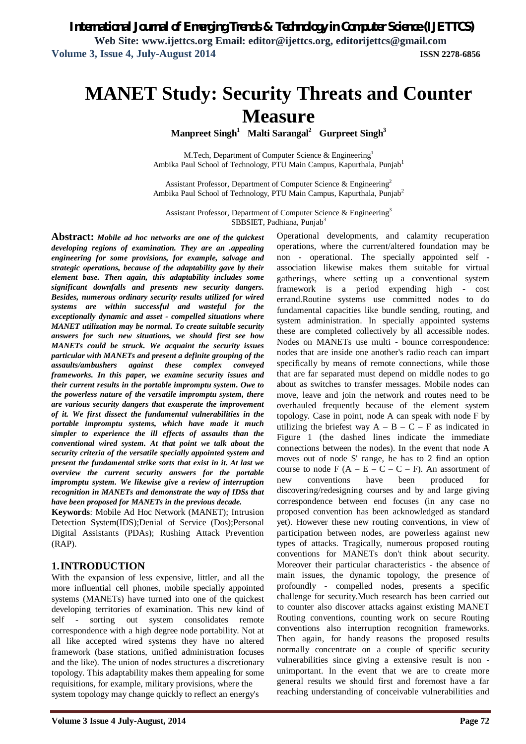# **MANET Study: Security Threats and Counter Measure**

**Manpreet Singh<sup>1</sup> Malti Sarangal<sup>2</sup> Gurpreet Singh<sup>3</sup>**

M.Tech, Department of Computer Science & Engineering<sup>1</sup> Ambika Paul School of Technology, PTU Main Campus, Kapurthala, Punjab<sup>1</sup>

Assistant Professor, Department of Computer Science & Engineering<sup>2</sup> Ambika Paul School of Technology, PTU Main Campus, Kapurthala, Punjab<sup>2</sup>

Assistant Professor, Department of Computer Science & Engineering<sup>3</sup> SBBSIET, Padhiana, Punjab<sup>3</sup>

> Operational developments, and calamity recuperation operations, where the current/altered foundation may be non - operational. The specially appointed self association likewise makes them suitable for virtual gatherings, where setting up a conventional system framework is a period expending high - cost errand.Routine systems use committed nodes to do fundamental capacities like bundle sending, routing, and system administration. In specially appointed systems these are completed collectively by all accessible nodes. Nodes on MANETs use multi - bounce correspondence: nodes that are inside one another's radio reach can impart specifically by means of remote connections, while those that are far separated must depend on middle nodes to go about as switches to transfer messages. Mobile nodes can move, leave and join the network and routes need to be overhauled frequently because of the element system topology. Case in point, node A can speak with node F by utilizing the briefest way  $A - B - C - F$  as indicated in Figure 1 (the dashed lines indicate the immediate connections between the nodes). In the event that node A moves out of node S' range, he has to 2 find an option course to node  $F(A - E - C - C - F)$ . An assortment of

**Abstract:** *Mobile ad hoc networks are one of the quickest developing regions of examination. They are an .appealing engineering for some provisions, for example, salvage and strategic operations, because of the adaptability gave by their element base. Then again, this adaptability includes some significant downfalls and presents new security dangers. Besides, numerous ordinary security results utilized for wired systems are within successful and wasteful for the exceptionally dynamic and asset - compelled situations where MANET utilization may be normal. To create suitable security answers for such new situations, we should first see how MANETs could be struck. We acquaint the security issues particular with MANETs and present a definite grouping of the assaults/ambushers against these complex conveyed frameworks. In this paper, we examine security issues and their current results in the portable impromptu system. Owe to the powerless nature of the versatile impromptu system, there are various security dangers that exasperate the improvement of it. We first dissect the fundamental vulnerabilities in the portable impromptu systems, which have made it much simpler to experience the ill effects of assaults than the conventional wired system. At that point we talk about the security criteria of the versatile specially appointed system and present the fundamental strike sorts that exist in it. At last we overview the current security answers for the portable impromptu system. We likewise give a review of interruption recognition in MANETs and demonstrate the way of IDSs that have been proposed for MANETs in the previous decade.*

**Keywords**: Mobile Ad Hoc Network (MANET); Intrusion Detection System(IDS);Denial of Service (Dos);Personal Digital Assistants (PDAs); Rushing Attack Prevention  $(RAP)$ .

## **1.INTRODUCTION**

With the expansion of less expensive, littler, and all the more influential cell phones, mobile specially appointed systems (MANETs) have turned into one of the quickest developing territories of examination. This new kind of self - sorting out system consolidates remote correspondence with a high degree node portability. Not at all like accepted wired systems they have no altered framework (base stations, unified administration focuses and the like). The union of nodes structures a discretionary topology. This adaptability makes them appealing for some requisitions, for example, military provisions, where the system topology may change quickly to reflect an energy's

**Volume 3 Issue 4 July-August, 2014 Page 72** new conventions have been produced for discovering/redesigning courses and by and large giving correspondence between end focuses (in any case no proposed convention has been acknowledged as standard yet). However these new routing conventions, in view of participation between nodes, are powerless against new types of attacks. Tragically, numerous proposed routing conventions for MANETs don't think about security. Moreover their particular characteristics - the absence of main issues, the dynamic topology, the presence of profoundly - compelled nodes, presents a specific challenge for security.Much research has been carried out to counter also discover attacks against existing MANET Routing conventions, counting work on secure Routing conventions also interruption recognition frameworks. Then again, for handy reasons the proposed results normally concentrate on a couple of specific security vulnerabilities since giving a extensive result is non unimportant. In the event that we are to create more general results we should first and foremost have a far reaching understanding of conceivable vulnerabilities and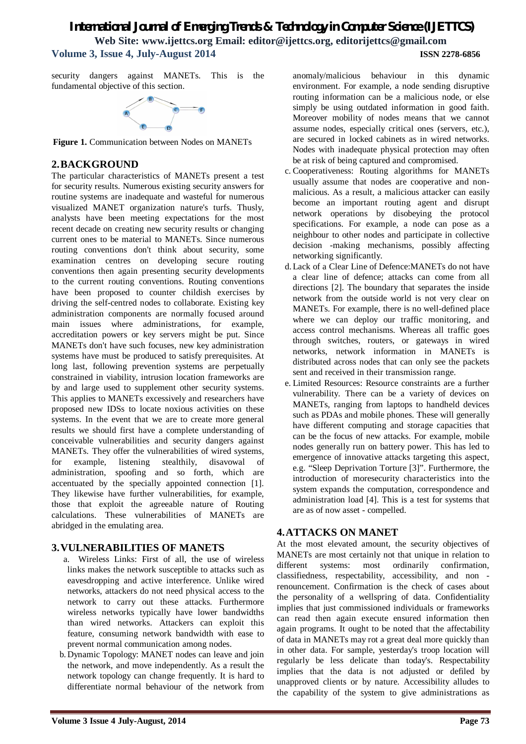security dangers against MANETs. This is the fundamental objective of this section.



**Figure 1.** Communication between Nodes on MANETs

## **2.BACKGROUND**

The particular characteristics of MANETs present a test for security results. Numerous existing security answers for routine systems are inadequate and wasteful for numerous visualized MANET organization nature's turfs. Thusly, analysts have been meeting expectations for the most recent decade on creating new security results or changing current ones to be material to MANETs. Since numerous routing conventions don't think about security, some examination centres on developing secure routing conventions then again presenting security developments to the current routing conventions. Routing conventions have been proposed to counter childish exercises by driving the self-centred nodes to collaborate. Existing key administration components are normally focused around main issues where administrations, for example, accreditation powers or key servers might be put. Since MANETs don't have such focuses, new key administration systems have must be produced to satisfy prerequisites. At long last, following prevention systems are perpetually constrained in viability, intrusion location frameworks are by and large used to supplement other security systems. This applies to MANETs excessively and researchers have proposed new IDSs to locate noxious activities on these systems. In the event that we are to create more general results we should first have a complete understanding of conceivable vulnerabilities and security dangers against MANETs. They offer the vulnerabilities of wired systems, for example, listening stealthily, disavowal of administration, spoofing and so forth, which are accentuated by the specially appointed connection [1]. They likewise have further vulnerabilities, for example, those that exploit the agreeable nature of Routing calculations. These vulnerabilities of MANETs are abridged in the emulating area.

## **3.VULNERABILITIES OF MANETS**

- a. Wireless Links: First of all, the use of wireless links makes the network susceptible to attacks such as eavesdropping and active interference. Unlike wired networks, attackers do not need physical access to the network to carry out these attacks. Furthermore wireless networks typically have lower bandwidths than wired networks. Attackers can exploit this feature, consuming network bandwidth with ease to prevent normal communication among nodes.
- b. Dynamic Topology: MANET nodes can leave and join the network, and move independently. As a result the network topology can change frequently. It is hard to differentiate normal behaviour of the network from

anomaly/malicious behaviour in this dynamic environment. For example, a node sending disruptive routing information can be a malicious node, or else simply be using outdated information in good faith. Moreover mobility of nodes means that we cannot assume nodes, especially critical ones (servers, etc.), are secured in locked cabinets as in wired networks. Nodes with inadequate physical protection may often be at risk of being captured and compromised.

- c. Cooperativeness: Routing algorithms for MANETs usually assume that nodes are cooperative and nonmalicious. As a result, a malicious attacker can easily become an important routing agent and disrupt network operations by disobeying the protocol specifications. For example, a node can pose as a neighbour to other nodes and participate in collective decision -making mechanisms, possibly affecting networking significantly.
- d.Lack of a Clear Line of Defence:MANETs do not have a clear line of defence; attacks can come from all directions [2]. The boundary that separates the inside network from the outside world is not very clear on MANETs. For example, there is no well-defined place where we can deploy our traffic monitoring, and access control mechanisms. Whereas all traffic goes through switches, routers, or gateways in wired networks, network information in MANETs is distributed across nodes that can only see the packets sent and received in their transmission range.
- e. Limited Resources: Resource constraints are a further vulnerability. There can be a variety of devices on MANETs, ranging from laptops to handheld devices such as PDAs and mobile phones. These will generally have different computing and storage capacities that can be the focus of new attacks. For example, mobile nodes generally run on battery power. This has led to emergence of innovative attacks targeting this aspect, e.g. "Sleep Deprivation Torture [3]". Furthermore, the introduction of moresecurity characteristics into the system expands the computation, correspondence and administration load [4]. This is a test for systems that are as of now asset - compelled.

## **4.ATTACKS ON MANET**

At the most elevated amount, the security objectives of MANETs are most certainly not that unique in relation to different systems: most ordinarily confirmation, classifiedness, respectability, accessibility, and non renouncement. Confirmation is the check of cases about the personality of a wellspring of data. Confidentiality implies that just commissioned individuals or frameworks can read then again execute ensured information then again programs. It ought to be noted that the affectability of data in MANETs may rot a great deal more quickly than in other data. For sample, yesterday's troop location will regularly be less delicate than today's. Respectability implies that the data is not adjusted or defiled by unapproved clients or by nature. Accessibility alludes to the capability of the system to give administrations as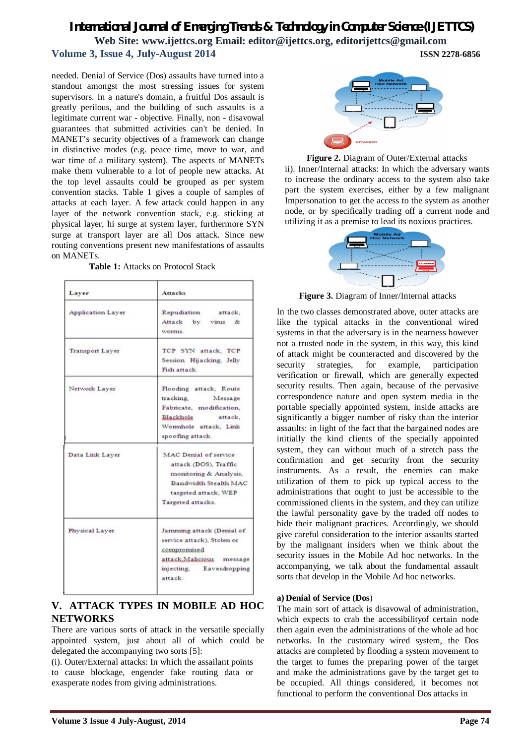needed. Denial of Service (Dos) assaults have turned into a standout amongst the most stressing issues for system supervisors. In a nature's domain, a fruitful Dos assault is greatly perilous, and the building of such assaults is a legitimate current war - objective. Finally, non - disavowal guarantees that submitted activities can't be denied. In MANET's security objectives of a framework can change in distinctive modes (e.g. peace time, move to war, and war time of a military system). The aspects of MANETs make them vulnerable to a lot of people new attacks. At the top level assaults could be grouped as per system convention stacks. Table 1 gives a couple of samples of attacks at each layer. A few attack could happen in any layer of the network convention stack, e.g. sticking at physical layer, hi surge at system layer, furthermore SYN surge at transport layer are all Dos attack. Since new routing conventions present new manifestations of assaults on MANETs.

**Table 1:** Attacks on Protocol Stack

| Laver             | Attacks                                                                                                                                        |
|-------------------|------------------------------------------------------------------------------------------------------------------------------------------------|
| Application Laver | Repudiation attack,<br>Attack by virus &<br>worms.                                                                                             |
| Transport Laver   | TCP SYN attack, TCP<br>Session Hijacking, Jelly<br>Fish attack.                                                                                |
| Network Layer     | Flooding attack, Route<br>tracking.<br>Message<br>Fabricate, modification,<br>Blackhole attack.<br>Wormhole attack, Link<br>spoofing attack.   |
| Data Link Layer   | MAC Denial of service<br>attack (DOS), Traffic<br>monitoring & Analysis,<br>Bandwidth Stealth MAC<br>targeted attack, WEP<br>Targeted attacks. |
| Physical Layer    | Jamming attack (Denial of<br>service attack), Stolen or<br>compromised<br>attack.Malicious message<br>injecting, Eavesdropping<br>attack.      |

## **V. ATTACK TYPES IN MOBILE AD HOC NETWORKS**

There are various sorts of attack in the versatile specially appointed system, just about all of which could be delegated the accompanying two sorts [5]:

(i). Outer/External attacks: In which the assailant points to cause blockage, engender fake routing data or exasperate nodes from giving administrations.







**Figure 3.** Diagram of Inner/Internal attacks

In the two classes demonstrated above, outer attacks are like the typical attacks in the conventional wired systems in that the adversary is in the nearness however not a trusted node in the system, in this way, this kind of attack might be counteracted and discovered by the security strategies, for example, participation verification or firewall, which are generally expected security results. Then again, because of the pervasive correspondence nature and open system media in the portable specially appointed system, inside attacks are significantly a bigger number of risky than the interior assaults: in light of the fact that the bargained nodes are initially the kind clients of the specially appointed system, they can without much of a stretch pass the confirmation and get security from the security instruments. As a result, the enemies can make utilization of them to pick up typical access to the administrations that ought to just be accessible to the commissioned clients in the system, and they can utilize the lawful personality gave by the traded off nodes to hide their malignant practices. Accordingly, we should give careful consideration to the interior assaults started by the malignant insiders when we think about the security issues in the Mobile Ad hoc networks. In the accompanying, we talk about the fundamental assault sorts that develop in the Mobile Ad hoc networks.

#### **a) Denial of Service (Dos**)

The main sort of attack is disavowal of administration, which expects to crab the accessibilityof certain node then again even the administrations of the whole ad hoc networks. In the customary wired system, the Dos attacks are completed by flooding a system movement to the target to fumes the preparing power of the target and make the administrations gave by the target get to be occupied. All things considered, it becomes not functional to perform the conventional Dos attacks in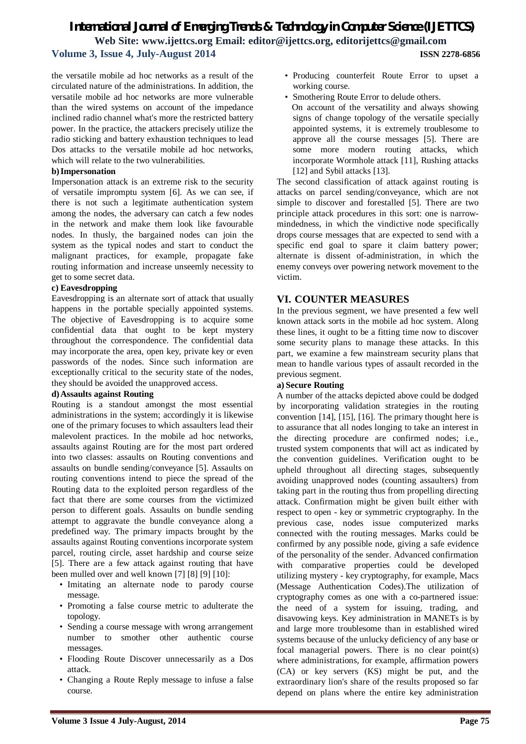the versatile mobile ad hoc networks as a result of the circulated nature of the administrations. In addition, the versatile mobile ad hoc networks are more vulnerable than the wired systems on account of the impedance inclined radio channel what's more the restricted battery power. In the practice, the attackers precisely utilize the radio sticking and battery exhaustion techniques to lead Dos attacks to the versatile mobile ad hoc networks, which will relate to the two vulnerabilities.

#### **b)Impersonation**

Impersonation attack is an extreme risk to the security of versatile impromptu system [6]. As we can see, if there is not such a legitimate authentication system among the nodes, the adversary can catch a few nodes in the network and make them look like favourable nodes. In thusly, the bargained nodes can join the system as the typical nodes and start to conduct the malignant practices, for example, propagate fake routing information and increase unseemly necessity to get to some secret data.

### **c) Eavesdropping**

Eavesdropping is an alternate sort of attack that usually happens in the portable specially appointed systems. The objective of Eavesdropping is to acquire some confidential data that ought to be kept mystery throughout the correspondence. The confidential data may incorporate the area, open key, private key or even passwords of the nodes. Since such information are exceptionally critical to the security state of the nodes, they should be avoided the unapproved access.

#### **d)Assaults against Routing**

Routing is a standout amongst the most essential administrations in the system; accordingly it is likewise one of the primary focuses to which assaulters lead their malevolent practices. In the mobile ad hoc networks, assaults against Routing are for the most part ordered into two classes: assaults on Routing conventions and assaults on bundle sending/conveyance [5]. Assaults on routing conventions intend to piece the spread of the Routing data to the exploited person regardless of the fact that there are some courses from the victimized person to different goals. Assaults on bundle sending attempt to aggravate the bundle conveyance along a predefined way. The primary impacts brought by the assaults against Routing conventions incorporate system parcel, routing circle, asset hardship and course seize [5]. There are a few attack against routing that have been mulled over and well known [7] [8] [9] [10]:

- Imitating an alternate node to parody course message.
- Promoting a false course metric to adulterate the topology.
- Sending a course message with wrong arrangement number to smother other authentic course messages.
- Flooding Route Discover unnecessarily as a Dos attack.
- Changing a Route Reply message to infuse a false course.
- Producing counterfeit Route Error to upset a working course.
- Smothering Route Error to delude others.
- On account of the versatility and always showing signs of change topology of the versatile specially appointed systems, it is extremely troublesome to approve all the course messages [5]. There are some more modern routing attacks, which incorporate Wormhole attack [11], Rushing attacks [12] and Sybil attacks [13].

The second classification of attack against routing is attacks on parcel sending/conveyance, which are not simple to discover and forestalled [5]. There are two principle attack procedures in this sort: one is narrowmindedness, in which the vindictive node specifically drops course messages that are expected to send with a specific end goal to spare it claim battery power; alternate is dissent of-administration, in which the enemy conveys over powering network movement to the victim.

## **VI. COUNTER MEASURES**

In the previous segment, we have presented a few well known attack sorts in the mobile ad hoc system. Along these lines, it ought to be a fitting time now to discover some security plans to manage these attacks. In this part, we examine a few mainstream security plans that mean to handle various types of assault recorded in the previous segment.

#### **a) Secure Routing**

A number of the attacks depicted above could be dodged by incorporating validation strategies in the routing convention [14], [15], [16]. The primary thought here is to assurance that all nodes longing to take an interest in the directing procedure are confirmed nodes; i.e., trusted system components that will act as indicated by the convention guidelines. Verification ought to be upheld throughout all directing stages, subsequently avoiding unapproved nodes (counting assaulters) from taking part in the routing thus from propelling directing attack. Confirmation might be given built either with respect to open - key or symmetric cryptography. In the previous case, nodes issue computerized marks connected with the routing messages. Marks could be confirmed by any possible node, giving a safe evidence of the personality of the sender. Advanced confirmation with comparative properties could be developed utilizing mystery - key cryptography, for example, Macs (Message Authentication Codes).The utilization of cryptography comes as one with a co-partnered issue: the need of a system for issuing, trading, and disavowing keys. Key administration in MANETs is by and large more troublesome than in established wired systems because of the unlucky deficiency of any base or focal managerial powers. There is no clear point(s) where administrations, for example, affirmation powers (CA) or key servers (KS) might be put, and the extraordinary lion's share of the results proposed so far depend on plans where the entire key administration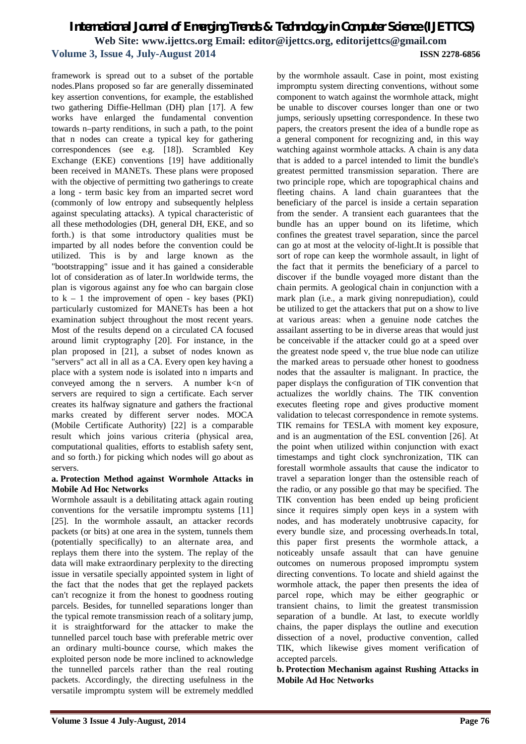framework is spread out to a subset of the portable nodes.Plans proposed so far are generally disseminated key assertion conventions, for example, the established two gathering Diffie-Hellman (DH) plan [17]. A few works have enlarged the fundamental convention towards n–party renditions, in such a path, to the point that n nodes can create a typical key for gathering correspondences (see e.g. [18]). Scrambled Key Exchange (EKE) conventions [19] have additionally been received in MANETs. These plans were proposed with the objective of permitting two gatherings to create a long - term basic key from an imparted secret word (commonly of low entropy and subsequently helpless against speculating attacks). A typical characteristic of all these methodologies (DH, general DH, EKE, and so forth.) is that some introductory qualities must be imparted by all nodes before the convention could be utilized. This is by and large known as the "bootstrapping" issue and it has gained a considerable lot of consideration as of later.In worldwide terms, the plan is vigorous against any foe who can bargain close to  $k - 1$  the improvement of open - key bases (PKI) particularly customized for MANETs has been a hot examination subject throughout the most recent years. Most of the results depend on a circulated CA focused around limit cryptography [20]. For instance, in the plan proposed in [21], a subset of nodes known as "servers" act all in all as a CA. Every open key having a place with a system node is isolated into n imparts and conveyed among the n servers. A number  $k < n$  of servers are required to sign a certificate. Each server creates its halfway signature and gathers the fractional marks created by different server nodes. MOCA (Mobile Certificate Authority) [22] is a comparable result which joins various criteria (physical area, computational qualities, efforts to establish safety sent, and so forth.) for picking which nodes will go about as servers.

#### **a. Protection Method against Wormhole Attacks in Mobile Ad Hoc Networks**

Wormhole assault is a debilitating attack again routing conventions for the versatile impromptu systems [11] [25]. In the wormhole assault, an attacker records packets (or bits) at one area in the system, tunnels them (potentially specifically) to an alternate area, and replays them there into the system. The replay of the data will make extraordinary perplexity to the directing issue in versatile specially appointed system in light of the fact that the nodes that get the replayed packets can't recognize it from the honest to goodness routing parcels. Besides, for tunnelled separations longer than the typical remote transmission reach of a solitary jump, it is straightforward for the attacker to make the tunnelled parcel touch base with preferable metric over an ordinary multi-bounce course, which makes the exploited person node be more inclined to acknowledge the tunnelled parcels rather than the real routing packets. Accordingly, the directing usefulness in the versatile impromptu system will be extremely meddled

by the wormhole assault. Case in point, most existing impromptu system directing conventions, without some component to watch against the wormhole attack, might be unable to discover courses longer than one or two jumps, seriously upsetting correspondence. In these two papers, the creators present the idea of a bundle rope as a general component for recognizing and, in this way watching against wormhole attacks. A chain is any data that is added to a parcel intended to limit the bundle's greatest permitted transmission separation. There are two principle rope, which are topographical chains and fleeting chains. A land chain guarantees that the beneficiary of the parcel is inside a certain separation from the sender. A transient each guarantees that the bundle has an upper bound on its lifetime, which confines the greatest travel separation, since the parcel can go at most at the velocity of-light.It is possible that sort of rope can keep the wormhole assault, in light of the fact that it permits the beneficiary of a parcel to discover if the bundle voyaged more distant than the chain permits. A geological chain in conjunction with a mark plan (i.e., a mark giving nonrepudiation), could be utilized to get the attackers that put on a show to live at various areas: when a genuine node catches the assailant asserting to be in diverse areas that would just be conceivable if the attacker could go at a speed over the greatest node speed v, the true blue node can utilize the marked areas to persuade other honest to goodness nodes that the assaulter is malignant. In practice, the paper displays the configuration of TIK convention that actualizes the worldly chains. The TIK convention executes fleeting rope and gives productive moment validation to telecast correspondence in remote systems. TIK remains for TESLA with moment key exposure, and is an augmentation of the ESL convention [26]. At the point when utilized within conjunction with exact timestamps and tight clock synchronization, TIK can forestall wormhole assaults that cause the indicator to travel a separation longer than the ostensible reach of the radio, or any possible go that may be specified. The TIK convention has been ended up being proficient since it requires simply open keys in a system with nodes, and has moderately unobtrusive capacity, for every bundle size, and processing overheads.In total, this paper first presents the wormhole attack, a noticeably unsafe assault that can have genuine outcomes on numerous proposed impromptu system directing conventions. To locate and shield against the wormhole attack, the paper then presents the idea of parcel rope, which may be either geographic or transient chains, to limit the greatest transmission separation of a bundle. At last, to execute worldly chains, the paper displays the outline and execution dissection of a novel, productive convention, called TIK, which likewise gives moment verification of accepted parcels.

**b. Protection Mechanism against Rushing Attacks in Mobile Ad Hoc Networks**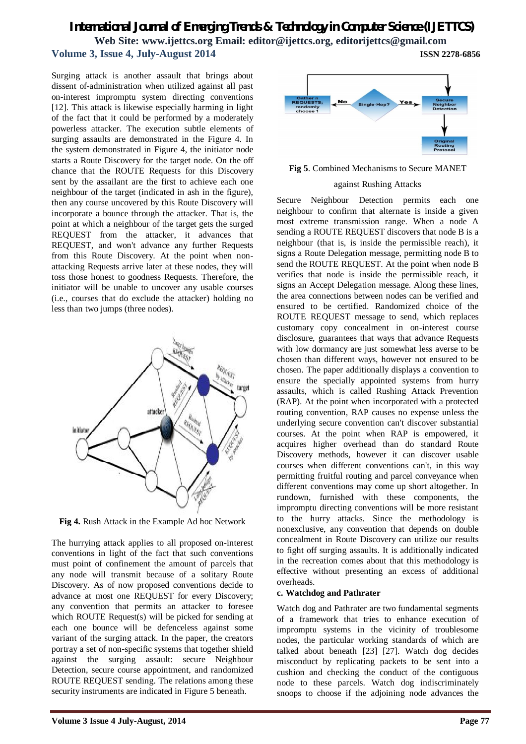## *International Journal of Emerging Trends & Technology in Computer Science (IJETTCS)* **Web Site: www.ijettcs.org Email: editor@ijettcs.org, editorijettcs@gmail.com**

# **Volume 3, Issue 4, July-August 2014 ISSN 2278-6856**

Surging attack is another assault that brings about dissent of-administration when utilized against all past on-interest impromptu system directing conventions [12]. This attack is likewise especially harming in light of the fact that it could be performed by a moderately powerless attacker. The execution subtle elements of surging assaults are demonstrated in the Figure 4. In the system demonstrated in Figure 4, the initiator node starts a Route Discovery for the target node. On the off chance that the ROUTE Requests for this Discovery sent by the assailant are the first to achieve each one neighbour of the target (indicated in ash in the figure), then any course uncovered by this Route Discovery will incorporate a bounce through the attacker. That is, the point at which a neighbour of the target gets the surged REQUEST from the attacker, it advances that REQUEST, and won't advance any further Requests from this Route Discovery. At the point when nonattacking Requests arrive later at these nodes, they will toss those honest to goodness Requests. Therefore, the initiator will be unable to uncover any usable courses (i.e., courses that do exclude the attacker) holding no less than two jumps (three nodes).



**Fig 4.** Rush Attack in the Example Ad hoc Network

The hurrying attack applies to all proposed on-interest conventions in light of the fact that such conventions must point of confinement the amount of parcels that any node will transmit because of a solitary Route Discovery. As of now proposed conventions decide to advance at most one REQUEST for every Discovery; any convention that permits an attacker to foresee which ROUTE Request(s) will be picked for sending at each one bounce will be defenceless against some variant of the surging attack. In the paper, the creators portray a set of non-specific systems that together shield against the surging assault: secure Neighbour Detection, secure course appointment, and randomized ROUTE REQUEST sending. The relations among these security instruments are indicated in Figure 5 beneath.



**Fig 5**. Combined Mechanisms to Secure MANET

#### against Rushing Attacks

Secure Neighbour Detection permits each one neighbour to confirm that alternate is inside a given most extreme transmission range. When a node A sending a ROUTE REQUEST discovers that node B is a neighbour (that is, is inside the permissible reach), it signs a Route Delegation message, permitting node B to send the ROUTE REQUEST. At the point when node B verifies that node is inside the permissible reach, it signs an Accept Delegation message. Along these lines, the area connections between nodes can be verified and ensured to be certified. Randomized choice of the ROUTE REQUEST message to send, which replaces customary copy concealment in on-interest course disclosure, guarantees that ways that advance Requests with low dormancy are just somewhat less averse to be chosen than different ways, however not ensured to be chosen. The paper additionally displays a convention to ensure the specially appointed systems from hurry assaults, which is called Rushing Attack Prevention (RAP). At the point when incorporated with a protected routing convention, RAP causes no expense unless the underlying secure convention can't discover substantial courses. At the point when RAP is empowered, it acquires higher overhead than do standard Route Discovery methods, however it can discover usable courses when different conventions can't, in this way permitting fruitful routing and parcel conveyance when different conventions may come up short altogether. In rundown, furnished with these components, the impromptu directing conventions will be more resistant to the hurry attacks. Since the methodology is nonexclusive, any convention that depends on double concealment in Route Discovery can utilize our results to fight off surging assaults. It is additionally indicated in the recreation comes about that this methodology is effective without presenting an excess of additional overheads.

#### **c. Watchdog and Pathrater**

Watch dog and Pathrater are two fundamental segments of a framework that tries to enhance execution of impromptu systems in the vicinity of troublesome nodes, the particular working standards of which are talked about beneath [23] [27]. Watch dog decides misconduct by replicating packets to be sent into a cushion and checking the conduct of the contiguous node to these parcels. Watch dog indiscriminately snoops to choose if the adjoining node advances the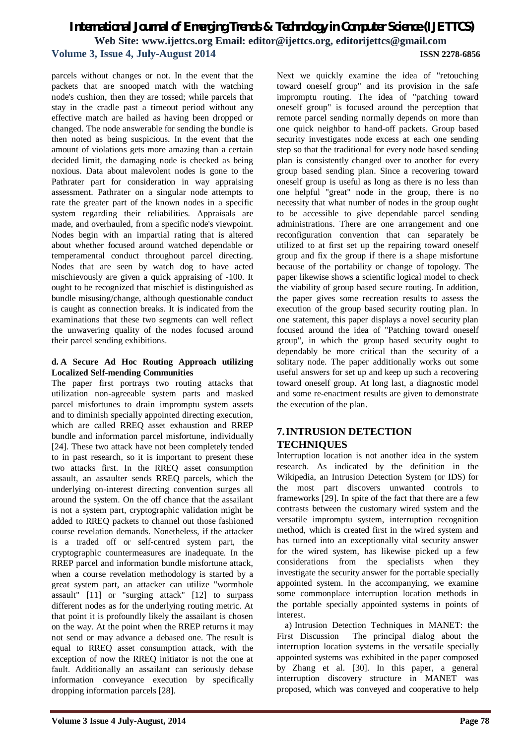parcels without changes or not. In the event that the packets that are snooped match with the watching node's cushion, then they are tossed; while parcels that stay in the cradle past a timeout period without any effective match are hailed as having been dropped or changed. The node answerable for sending the bundle is then noted as being suspicious. In the event that the amount of violations gets more amazing than a certain decided limit, the damaging node is checked as being noxious. Data about malevolent nodes is gone to the Pathrater part for consideration in way appraising assessment. Pathrater on a singular node attempts to rate the greater part of the known nodes in a specific system regarding their reliabilities. Appraisals are made, and overhauled, from a specific node's viewpoint. Nodes begin with an impartial rating that is altered about whether focused around watched dependable or temperamental conduct throughout parcel directing. Nodes that are seen by watch dog to have acted mischievously are given a quick appraising of -100. It ought to be recognized that mischief is distinguished as bundle misusing/change, although questionable conduct is caught as connection breaks. It is indicated from the examinations that these two segments can well reflect the unwavering quality of the nodes focused around their parcel sending exhibitions.

## **d. A Secure Ad Hoc Routing Approach utilizing Localized Self-mending Communities**

The paper first portrays two routing attacks that utilization non-agreeable system parts and masked parcel misfortunes to drain impromptu system assets and to diminish specially appointed directing execution, which are called RREQ asset exhaustion and RREP bundle and information parcel misfortune, individually [24]. These two attack have not been completely tended to in past research, so it is important to present these two attacks first. In the RREQ asset consumption assault, an assaulter sends RREQ parcels, which the underlying on-interest directing convention surges all around the system. On the off chance that the assailant is not a system part, cryptographic validation might be added to RREQ packets to channel out those fashioned course revelation demands. Nonetheless, if the attacker is a traded off or self-centred system part, the cryptographic countermeasures are inadequate. In the RREP parcel and information bundle misfortune attack, when a course revelation methodology is started by a great system part, an attacker can utilize "wormhole assault" [11] or "surging attack" [12] to surpass different nodes as for the underlying routing metric. At that point it is profoundly likely the assailant is chosen on the way. At the point when the RREP returns it may not send or may advance a debased one. The result is equal to RREQ asset consumption attack, with the exception of now the RREQ initiator is not the one at fault. Additionally an assailant can seriously debase information conveyance execution by specifically dropping information parcels [28].

Next we quickly examine the idea of "retouching toward oneself group" and its provision in the safe impromptu routing. The idea of "patching toward oneself group" is focused around the perception that remote parcel sending normally depends on more than one quick neighbor to hand-off packets. Group based security investigates node excess at each one sending step so that the traditional for every node based sending plan is consistently changed over to another for every group based sending plan. Since a recovering toward oneself group is useful as long as there is no less than one helpful "great" node in the group, there is no necessity that what number of nodes in the group ought to be accessible to give dependable parcel sending administrations. There are one arrangement and one reconfiguration convention that can separately be utilized to at first set up the repairing toward oneself group and fix the group if there is a shape misfortune because of the portability or change of topology. The paper likewise shows a scientific logical model to check the viability of group based secure routing. In addition, the paper gives some recreation results to assess the execution of the group based security routing plan. In one statement, this paper displays a novel security plan focused around the idea of "Patching toward oneself group", in which the group based security ought to dependably be more critical than the security of a solitary node. The paper additionally works out some useful answers for set up and keep up such a recovering toward oneself group. At long last, a diagnostic model and some re-enactment results are given to demonstrate the execution of the plan.

## **7.INTRUSION DETECTION TECHNIQUES**

Interruption location is not another idea in the system research. As indicated by the definition in the Wikipedia, an Intrusion Detection System (or IDS) for the most part discovers unwanted controls to frameworks [29]. In spite of the fact that there are a few contrasts between the customary wired system and the versatile impromptu system, interruption recognition method, which is created first in the wired system and has turned into an exceptionally vital security answer for the wired system, has likewise picked up a few considerations from the specialists when they investigate the security answer for the portable specially appointed system. In the accompanying, we examine some commonplace interruption location methods in the portable specially appointed systems in points of interest.

a) Intrusion Detection Techniques in MANET: the First Discussion The principal dialog about the interruption location systems in the versatile specially appointed systems was exhibited in the paper composed by Zhang et al. [30]. In this paper, a general interruption discovery structure in MANET was proposed, which was conveyed and cooperative to help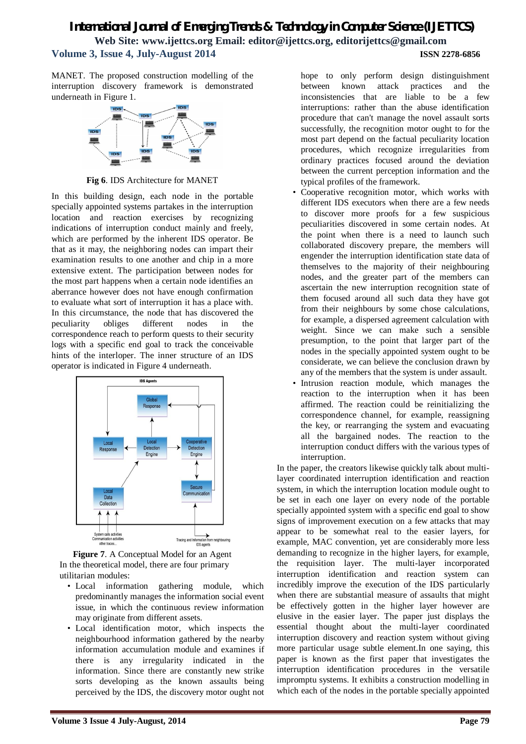MANET. The proposed construction modelling of the interruption discovery framework is demonstrated underneath in Figure 1.



**Fig 6**. IDS Architecture for MANET

In this building design, each node in the portable specially appointed systems partakes in the interruption location and reaction exercises by recognizing indications of interruption conduct mainly and freely, which are performed by the inherent IDS operator. Be that as it may, the neighboring nodes can impart their examination results to one another and chip in a more extensive extent. The participation between nodes for the most part happens when a certain node identifies an aberrance however does not have enough confirmation to evaluate what sort of interruption it has a place with. In this circumstance, the node that has discovered the peculiarity obliges different nodes in the correspondence reach to perform quests to their security logs with a specific end goal to track the conceivable hints of the interloper. The inner structure of an IDS operator is indicated in Figure 4 underneath.



**Figure 7**. A Conceptual Model for an Agent In the theoretical model, there are four primary utilitarian modules:

- Local information gathering module, which predominantly manages the information social event issue, in which the continuous review information may originate from different assets.
- Local identification motor, which inspects the neighbourhood information gathered by the nearby information accumulation module and examines if there is any irregularity indicated in the information. Since there are constantly new strike sorts developing as the known assaults being perceived by the IDS, the discovery motor ought not

hope to only perform design distinguishment between known attack practices and the inconsistencies that are liable to be a few interruptions: rather than the abuse identification procedure that can't manage the novel assault sorts successfully, the recognition motor ought to for the most part depend on the factual peculiarity location procedures, which recognize irregularities from ordinary practices focused around the deviation between the current perception information and the typical profiles of the framework.

- Cooperative recognition motor, which works with different IDS executors when there are a few needs to discover more proofs for a few suspicious peculiarities discovered in some certain nodes. At the point when there is a need to launch such collaborated discovery prepare, the members will engender the interruption identification state data of themselves to the majority of their neighbouring nodes, and the greater part of the members can ascertain the new interruption recognition state of them focused around all such data they have got from their neighbours by some chose calculations, for example, a dispersed agreement calculation with weight. Since we can make such a sensible presumption, to the point that larger part of the nodes in the specially appointed system ought to be considerate, we can believe the conclusion drawn by any of the members that the system is under assault.
- Intrusion reaction module, which manages the reaction to the interruption when it has been affirmed. The reaction could be reinitializing the correspondence channel, for example, reassigning the key, or rearranging the system and evacuating all the bargained nodes. The reaction to the interruption conduct differs with the various types of interruption.

In the paper, the creators likewise quickly talk about multilayer coordinated interruption identification and reaction system, in which the interruption location module ought to be set in each one layer on every node of the portable specially appointed system with a specific end goal to show signs of improvement execution on a few attacks that may appear to be somewhat real to the easier layers, for example, MAC convention, yet are considerably more less demanding to recognize in the higher layers, for example, the requisition layer. The multi-layer incorporated interruption identification and reaction system can incredibly improve the execution of the IDS particularly when there are substantial measure of assaults that might be effectively gotten in the higher layer however are elusive in the easier layer. The paper just displays the essential thought about the multi-layer coordinated interruption discovery and reaction system without giving more particular usage subtle element.In one saying, this paper is known as the first paper that investigates the interruption identification procedures in the versatile impromptu systems. It exhibits a construction modelling in which each of the nodes in the portable specially appointed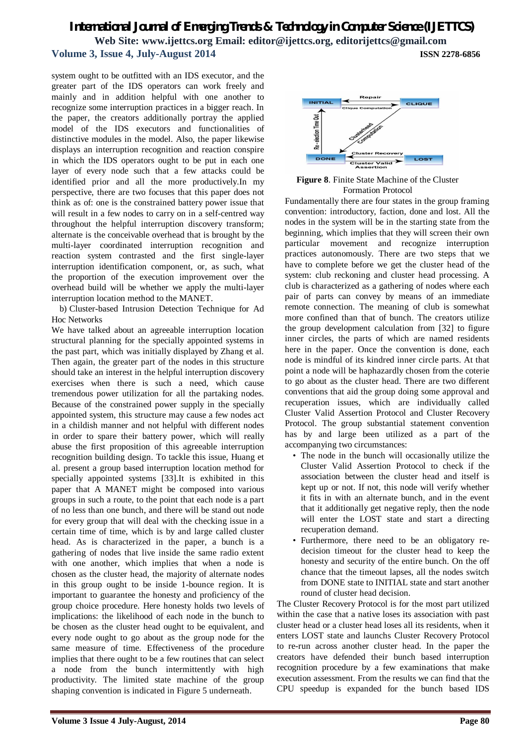system ought to be outfitted with an IDS executor, and the greater part of the IDS operators can work freely and mainly and in addition helpful with one another to recognize some interruption practices in a bigger reach. In the paper, the creators additionally portray the applied model of the IDS executors and functionalities of distinctive modules in the model. Also, the paper likewise displays an interruption recognition and reaction conspire in which the IDS operators ought to be put in each one layer of every node such that a few attacks could be identified prior and all the more productively.In my perspective, there are two focuses that this paper does not think as of: one is the constrained battery power issue that will result in a few nodes to carry on in a self-centred way throughout the helpful interruption discovery transform; alternate is the conceivable overhead that is brought by the multi-layer coordinated interruption recognition and reaction system contrasted and the first single-layer interruption identification component, or, as such, what the proportion of the execution improvement over the overhead build will be whether we apply the multi-layer interruption location method to the MANET.

b) Cluster-based Intrusion Detection Technique for Ad Hoc Networks

We have talked about an agreeable interruption location structural planning for the specially appointed systems in the past part, which was initially displayed by Zhang et al. Then again, the greater part of the nodes in this structure should take an interest in the helpful interruption discovery exercises when there is such a need, which cause tremendous power utilization for all the partaking nodes. Because of the constrained power supply in the specially appointed system, this structure may cause a few nodes act in a childish manner and not helpful with different nodes in order to spare their battery power, which will really abuse the first proposition of this agreeable interruption recognition building design. To tackle this issue, Huang et al. present a group based interruption location method for specially appointed systems [33].It is exhibited in this paper that A MANET might be composed into various groups in such a route, to the point that each node is a part of no less than one bunch, and there will be stand out node for every group that will deal with the checking issue in a certain time of time, which is by and large called cluster head. As is characterized in the paper, a bunch is a gathering of nodes that live inside the same radio extent with one another, which implies that when a node is chosen as the cluster head, the majority of alternate nodes in this group ought to be inside 1-bounce region. It is important to guarantee the honesty and proficiency of the group choice procedure. Here honesty holds two levels of implications: the likelihood of each node in the bunch to be chosen as the cluster head ought to be equivalent, and every node ought to go about as the group node for the same measure of time. Effectiveness of the procedure implies that there ought to be a few routines that can select a node from the bunch intermittently with high productivity. The limited state machine of the group shaping convention is indicated in Figure 5 underneath.



**Figure 8**. Finite State Machine of the Cluster Formation Protocol

Fundamentally there are four states in the group framing convention: introductory, faction, done and lost. All the nodes in the system will be in the starting state from the beginning, which implies that they will screen their own particular movement and recognize interruption practices autonomously. There are two steps that we have to complete before we get the cluster head of the system: club reckoning and cluster head processing. A club is characterized as a gathering of nodes where each pair of parts can convey by means of an immediate remote connection. The meaning of club is somewhat more confined than that of bunch. The creators utilize the group development calculation from [32] to figure inner circles, the parts of which are named residents here in the paper. Once the convention is done, each node is mindful of its kindred inner circle parts. At that point a node will be haphazardly chosen from the coterie to go about as the cluster head. There are two different conventions that aid the group doing some approval and recuperation issues, which are individually called Cluster Valid Assertion Protocol and Cluster Recovery Protocol. The group substantial statement convention has by and large been utilized as a part of the accompanying two circumstances:

- The node in the bunch will occasionally utilize the Cluster Valid Assertion Protocol to check if the association between the cluster head and itself is kept up or not. If not, this node will verify whether it fits in with an alternate bunch, and in the event that it additionally get negative reply, then the node will enter the LOST state and start a directing recuperation demand.
- Furthermore, there need to be an obligatory redecision timeout for the cluster head to keep the honesty and security of the entire bunch. On the off chance that the timeout lapses, all the nodes switch from DONE state to INITIAL state and start another round of cluster head decision.

The Cluster Recovery Protocol is for the most part utilized within the case that a native loses its association with past cluster head or a cluster head loses all its residents, when it enters LOST state and launchs Cluster Recovery Protocol to re-run across another cluster head. In the paper the creators have defended their bunch based interruption recognition procedure by a few examinations that make execution assessment. From the results we can find that the CPU speedup is expanded for the bunch based IDS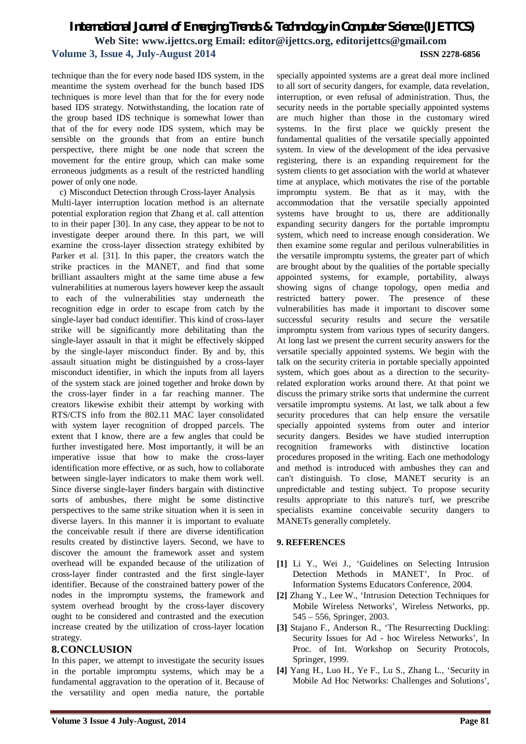technique than the for every node based IDS system, in the meantime the system overhead for the bunch based IDS techniques is more level than that for the for every node based IDS strategy. Notwithstanding, the location rate of the group based IDS technique is somewhat lower than that of the for every node IDS system, which may be sensible on the grounds that from an entire bunch perspective, there might be one node that screen the movement for the entire group, which can make some erroneous judgments as a result of the restricted handling power of only one node.

c) Misconduct Detection through Cross-layer Analysis Multi-layer interruption location method is an alternate potential exploration region that Zhang et al. call attention to in their paper [30]. In any case, they appear to be not to investigate deeper around there. In this part, we will examine the cross-layer dissection strategy exhibited by Parker et al. [31]. In this paper, the creators watch the strike practices in the MANET, and find that some brilliant assaulters might at the same time abuse a few vulnerabilities at numerous layers however keep the assault to each of the vulnerabilities stay underneath the recognition edge in order to escape from catch by the single-layer bad conduct identifier. This kind of cross-layer strike will be significantly more debilitating than the single-layer assault in that it might be effectively skipped by the single-layer misconduct finder. By and by, this assault situation might be distinguished by a cross-layer misconduct identifier, in which the inputs from all layers of the system stack are joined together and broke down by the cross-layer finder in a far reaching manner. The creators likewise exhibit their attempt by working with RTS/CTS info from the 802.11 MAC layer consolidated with system layer recognition of dropped parcels. The extent that I know, there are a few angles that could be further investigated here. Most importantly, it will be an imperative issue that how to make the cross-layer identification more effective, or as such, how to collaborate between single-layer indicators to make them work well. Since diverse single-layer finders bargain with distinctive sorts of ambushes, there might be some distinctive perspectives to the same strike situation when it is seen in diverse layers. In this manner it is important to evaluate the conceivable result if there are diverse identification results created by distinctive layers. Second, we have to discover the amount the framework asset and system overhead will be expanded because of the utilization of cross-layer finder contrasted and the first single-layer identifier. Because of the constrained battery power of the nodes in the impromptu systems, the framework and system overhead brought by the cross-layer discovery ought to be considered and contrasted and the execution increase created by the utilization of cross-layer location strategy.

## **8.CONCLUSION**

In this paper, we attempt to investigate the security issues in the portable impromptu systems, which may be a fundamental aggravation to the operation of it. Because of the versatility and open media nature, the portable

specially appointed systems are a great deal more inclined to all sort of security dangers, for example, data revelation, interruption, or even refusal of administration. Thus, the security needs in the portable specially appointed systems are much higher than those in the customary wired systems. In the first place we quickly present the fundamental qualities of the versatile specially appointed system. In view of the development of the idea pervasive registering, there is an expanding requirement for the system clients to get association with the world at whatever time at anyplace, which motivates the rise of the portable impromptu system. Be that as it may, with the accommodation that the versatile specially appointed systems have brought to us, there are additionally expanding security dangers for the portable impromptu system, which need to increase enough consideration. We then examine some regular and perilous vulnerabilities in the versatile impromptu systems, the greater part of which are brought about by the qualities of the portable specially appointed systems, for example, portability, always showing signs of change topology, open media and restricted battery power. The presence of these vulnerabilities has made it important to discover some successful security results and secure the versatile impromptu system from various types of security dangers. At long last we present the current security answers for the versatile specially appointed systems. We begin with the talk on the security criteria in portable specially appointed system, which goes about as a direction to the securityrelated exploration works around there. At that point we discuss the primary strike sorts that undermine the current versatile impromptu systems. At last, we talk about a few security procedures that can help ensure the versatile specially appointed systems from outer and interior security dangers. Besides we have studied interruption recognition frameworks with distinctive location procedures proposed in the writing. Each one methodology and method is introduced with ambushes they can and can't distinguish. To close, MANET security is an unpredictable and testing subject. To propose security results appropriate to this nature's turf, we prescribe specialists examine conceivable security dangers to MANETs generally completely.

## **9. REFERENCES**

- **[1]** Li Y., Wei J., 'Guidelines on Selecting Intrusion Detection Methods in MANET', In Proc. of Information Systems Educators Conference, 2004.
- **[2]** Zhang Y., Lee W., 'Intrusion Detection Techniques for Mobile Wireless Networks', Wireless Networks, pp. 545 – 556, Springer, 2003.
- **[3]** Stajano F., Anderson R., 'The Resurrecting Duckling: Security Issues for Ad - hoc Wireless Networks', In Proc. of Int. Workshop on Security Protocols, Springer, 1999.
- **[4]** Yang H., Luo H., Ye F., Lu S., Zhang L., 'Security in Mobile Ad Hoc Networks: Challenges and Solutions',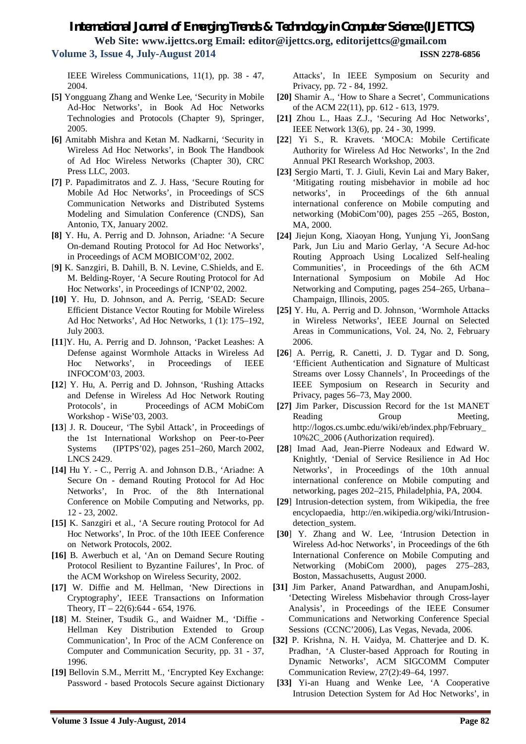IEEE Wireless Communications, 11(1), pp. 38 - 47, 2004.

- **[5]** Yongguang Zhang and Wenke Lee, 'Security in Mobile Ad-Hoc Networks', in Book Ad Hoc Networks Technologies and Protocols (Chapter 9), Springer, 2005.
- **[6]** Amitabh Mishra and Ketan M. Nadkarni, 'Security in Wireless Ad Hoc Networks', in Book The Handbook of Ad Hoc Wireless Networks (Chapter 30), CRC Press LLC, 2003.
- **[7]** P. Papadimitratos and Z. J. Hass, 'Secure Routing for Mobile Ad Hoc Networks', in Proceedings of SCS Communication Networks and Distributed Systems Modeling and Simulation Conference (CNDS), San Antonio, TX, January 2002.
- **[8]** Y. Hu, A. Perrig and D. Johnson, Ariadne: 'A Secure On-demand Routing Protocol for Ad Hoc Networks', in Proceedings of ACM MOBICOM'02, 2002.
- [**9]** K. Sanzgiri, B. Dahill, B. N. Levine, C.Shields, and E. M. Belding-Royer, 'A Secure Routing Protocol for Ad Hoc Networks', in Proceedings of ICNP'02, 2002.
- **[10]** Y. Hu, D. Johnson, and A. Perrig, 'SEAD: Secure Efficient Distance Vector Routing for Mobile Wireless Ad Hoc Networks', Ad Hoc Networks, 1 (1): 175–192, July 2003.
- **[11**]Y. Hu, A. Perrig and D. Johnson, 'Packet Leashes: A Defense against Wormhole Attacks in Wireless Ad Hoc Networks', in Proceedings of IEEE INFOCOM'03, 2003.
- **[12**] Y. Hu, A. Perrig and D. Johnson, 'Rushing Attacks and Defense in Wireless Ad Hoc Network Routing Protocols', in Proceedings of ACM MobiCom Workshop - WiSe'03, 2003.
- **[13**] J. R. Douceur, 'The Sybil Attack', in Proceedings of the 1st International Workshop on Peer-to-Peer Systems (IPTPS'02), pages 251–260, March 2002, LNCS 2429.
- **[14]** Hu Y. C., Perrig A. and Johnson D.B., 'Ariadne: A Secure On - demand Routing Protocol for Ad Hoc Networks', In Proc. of the 8th International Conference on Mobile Computing and Networks, pp. 12 - 23, 2002.
- **[15]** K. Sanzgiri et al., 'A Secure routing Protocol for Ad Hoc Networks', In Proc. of the 10th IEEE Conference on Network Protocols, 2002.
- **[16]** B. Awerbuch et al, 'An on Demand Secure Routing Protocol Resilient to Byzantine Failures', In Proc. of the ACM Workshop on Wireless Security, 2002.
- **[17]** W. Diffie and M. Hellman, 'New Directions in Cryptography', IEEE Transactions on Information Theory,  $IT - 22(6)$ :644 - 654, 1976.
- **[18**] M. Steiner, Tsudik G., and Waidner M., 'Diffie Hellman Key Distribution Extended to Group Communication', In Proc of the ACM Conference on Computer and Communication Security, pp. 31 - 37, 1996.
- **[19]** Bellovin S.M., Merritt M., 'Encrypted Key Exchange: Password - based Protocols Secure against Dictionary

Attacks', In IEEE Symposium on Security and Privacy, pp. 72 - 84, 1992.

- **[20]** Shamir A., 'How to Share a Secret', Communications of the ACM 22(11), pp. 612 - 613, 1979.
- **[21]** Zhou L., Haas Z.J., 'Securing Ad Hoc Networks', IEEE Network 13(6), pp. 24 - 30, 1999.
- **[22**] Yi S., R. Kravets. 'MOCA: Mobile Certificate Authority for Wireless Ad Hoc Networks', In the 2nd Annual PKI Research Workshop, 2003.
- **[23]** Sergio Marti, T. J. Giuli, Kevin Lai and Mary Baker, 'Mitigating routing misbehavior in mobile ad hoc networks', in Proceedings of the 6th annual international conference on Mobile computing and networking (MobiCom'00), pages 255 –265, Boston, MA, 2000.
- **[24]** Jiejun Kong, Xiaoyan Hong, Yunjung Yi, JoonSang Park, Jun Liu and Mario Gerlay, 'A Secure Ad-hoc Routing Approach Using Localized Self-healing Communities', in Proceedings of the 6th ACM International Symposium on Mobile Ad Hoc Networking and Computing, pages 254–265, Urbana– Champaign, Illinois, 2005.
- **[25]** Y. Hu, A. Perrig and D. Johnson, 'Wormhole Attacks in Wireless Networks', IEEE Journal on Selected Areas in Communications, Vol. 24, No. 2, February 2006.
- [26] A. Perrig, R. Canetti, J. D. Tygar and D. Song, 'Efficient Authentication and Signature of Multicast Streams over Lossy Channels', In Proceedings of the IEEE Symposium on Research in Security and Privacy, pages 56–73, May 2000.
- **[27]** Jim Parker, Discussion Record for the 1st MANET Reading Group Meeting, http://logos.cs.umbc.edu/wiki/eb/index.php/February\_ 10%2C\_2006 (Authorization required).
- **[28**] Imad Aad, Jean-Pierre Nodeaux and Edward W. Knightly, 'Denial of Service Resilience in Ad Hoc Networks', in Proceedings of the 10th annual international conference on Mobile computing and networking, pages 202–215, Philadelphia, PA, 2004.
- **[29**] Intrusion-detection system, from Wikipedia, the free encyclopaedia, http://en.wikipedia.org/wiki/Intrusiondetection\_system.
- **[30**] Y. Zhang and W. Lee, 'Intrusion Detection in Wireless Ad-hoc Networks', in Proceedings of the 6th International Conference on Mobile Computing and Networking (MobiCom 2000), pages 275–283, Boston, Massachusetts, August 2000.
- **[31]** Jim Parker, Anand Patwardhan, and AnupamJoshi, 'Detecting Wireless Misbehavior through Cross-layer Analysis', in Proceedings of the IEEE Consumer Communications and Networking Conference Special Sessions (CCNC'2006), Las Vegas, Nevada, 2006.
- **[32]** P. Krishna, N. H. Vaidya, M. Chatterjee and D. K. Pradhan, 'A Cluster-based Approach for Routing in Dynamic Networks', ACM SIGCOMM Computer Communication Review, 27(2):49–64, 1997.
- [33] Yi-an Huang and Wenke Lee, 'A Cooperative Intrusion Detection System for Ad Hoc Networks', in